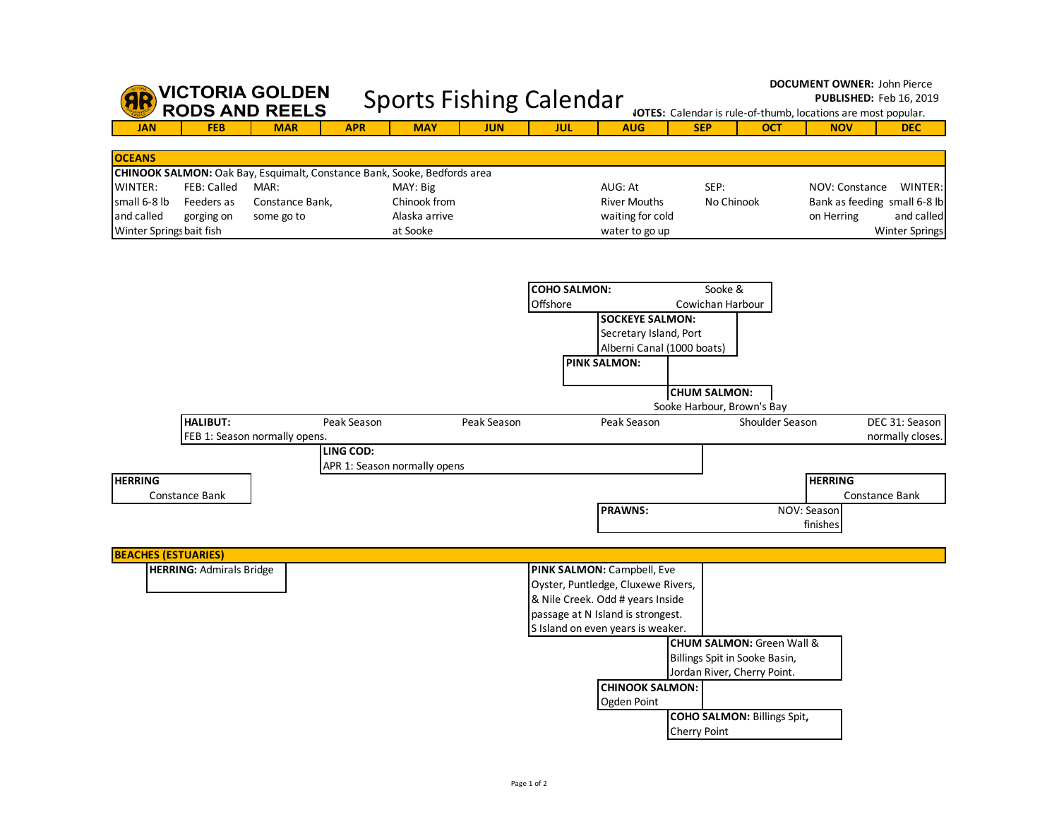|                                                                   |                                                | <b>VICTORIA GOLDEN</b><br><b>RODS AND REELS</b>                                                                   |                  | <b>Sports Fishing Calendar</b> |                                                       |  |             |                     |  |                                                                      |                            | <b>DOCUMENT OWNER: John Pierce</b><br><b>PUBLISHED: Feb 16, 2019</b><br><b>IOTES:</b> Calendar is rule-of-thumb, locations are most popular. |            |                                                              |                              |  |                                                                                |
|-------------------------------------------------------------------|------------------------------------------------|-------------------------------------------------------------------------------------------------------------------|------------------|--------------------------------|-------------------------------------------------------|--|-------------|---------------------|--|----------------------------------------------------------------------|----------------------------|----------------------------------------------------------------------------------------------------------------------------------------------|------------|--------------------------------------------------------------|------------------------------|--|--------------------------------------------------------------------------------|
| <b>JAN</b>                                                        | <b>FEB</b>                                     | <b>MAR</b>                                                                                                        |                  | <b>APR</b>                     | <b>MAY</b>                                            |  | <b>JUN</b>  | <b>JUL</b>          |  | <b>AUG</b>                                                           |                            | <b>SEP</b>                                                                                                                                   |            | <b>OCT</b>                                                   | <b>NOV</b>                   |  | <b>DEC</b>                                                                     |
|                                                                   |                                                |                                                                                                                   |                  |                                |                                                       |  |             |                     |  |                                                                      |                            |                                                                                                                                              |            |                                                              |                              |  |                                                                                |
| <b>OCEANS</b>                                                     |                                                |                                                                                                                   |                  |                                |                                                       |  |             |                     |  |                                                                      |                            |                                                                                                                                              |            |                                                              |                              |  |                                                                                |
| WINTER:<br>small 6-8 lb<br>and called<br>Winter Springs bait fish | <b>FEB: Called</b><br>Feeders as<br>gorging on | CHINOOK SALMON: Oak Bay, Esquimalt, Constance Bank, Sooke, Bedfords area<br>MAR:<br>Constance Bank,<br>some go to |                  |                                | MAY: Big<br>Chinook from<br>Alaska arrive<br>at Sooke |  |             |                     |  | AUG: At<br><b>River Mouths</b><br>waiting for cold<br>water to go up |                            | SEP:                                                                                                                                         | No Chinook |                                                              | NOV: Constance<br>on Herring |  | WINTER:<br>Bank as feeding small 6-8 lb<br>and called<br><b>Winter Springs</b> |
|                                                                   |                                                |                                                                                                                   |                  |                                |                                                       |  |             | <b>COHO SALMON:</b> |  |                                                                      |                            | Sooke &                                                                                                                                      |            |                                                              |                              |  |                                                                                |
|                                                                   |                                                |                                                                                                                   |                  |                                |                                                       |  |             | Offshore            |  |                                                                      |                            | Cowichan Harbour                                                                                                                             |            |                                                              |                              |  |                                                                                |
|                                                                   |                                                |                                                                                                                   |                  |                                |                                                       |  |             |                     |  | <b>SOCKEYE SALMON:</b>                                               |                            |                                                                                                                                              |            |                                                              |                              |  |                                                                                |
|                                                                   |                                                |                                                                                                                   |                  |                                |                                                       |  |             |                     |  | Secretary Island, Port                                               |                            |                                                                                                                                              |            |                                                              |                              |  |                                                                                |
|                                                                   |                                                |                                                                                                                   |                  |                                |                                                       |  |             |                     |  | Alberni Canal (1000 boats)<br><b>PINK SALMON:</b>                    |                            |                                                                                                                                              |            |                                                              |                              |  |                                                                                |
|                                                                   |                                                |                                                                                                                   |                  |                                |                                                       |  |             |                     |  |                                                                      |                            |                                                                                                                                              |            |                                                              |                              |  |                                                                                |
|                                                                   |                                                |                                                                                                                   |                  |                                |                                                       |  |             |                     |  |                                                                      |                            | <b>CHUM SALMON:</b>                                                                                                                          |            |                                                              |                              |  |                                                                                |
|                                                                   |                                                |                                                                                                                   |                  |                                |                                                       |  |             |                     |  |                                                                      | Sooke Harbour, Brown's Bay |                                                                                                                                              |            |                                                              |                              |  |                                                                                |
|                                                                   | <b>HALIBUT:</b>                                |                                                                                                                   |                  | Peak Season                    |                                                       |  | Peak Season |                     |  | Peak Season                                                          |                            |                                                                                                                                              |            | Shoulder Season                                              |                              |  | DEC 31: Season                                                                 |
|                                                                   |                                                | FEB 1: Season normally opens.                                                                                     | <b>LING COD:</b> |                                |                                                       |  |             |                     |  |                                                                      |                            |                                                                                                                                              |            |                                                              |                              |  | normally closes.                                                               |
|                                                                   |                                                |                                                                                                                   |                  |                                | APR 1: Season normally opens                          |  |             |                     |  |                                                                      |                            |                                                                                                                                              |            |                                                              |                              |  |                                                                                |
| <b>HERRING</b>                                                    |                                                |                                                                                                                   |                  |                                |                                                       |  |             |                     |  |                                                                      |                            |                                                                                                                                              |            |                                                              | <b>HERRING</b>               |  |                                                                                |
|                                                                   | Constance Bank                                 |                                                                                                                   |                  |                                |                                                       |  |             |                     |  |                                                                      |                            |                                                                                                                                              |            |                                                              |                              |  | Constance Bank                                                                 |
|                                                                   |                                                |                                                                                                                   |                  |                                |                                                       |  |             |                     |  | <b>PRAWNS:</b>                                                       |                            |                                                                                                                                              |            |                                                              | NOV: Season                  |  |                                                                                |
|                                                                   |                                                |                                                                                                                   |                  |                                |                                                       |  |             |                     |  |                                                                      |                            |                                                                                                                                              |            |                                                              | finishes                     |  |                                                                                |
| <b>BEACHES (ESTUARIES)</b>                                        |                                                |                                                                                                                   |                  |                                |                                                       |  |             |                     |  |                                                                      |                            |                                                                                                                                              |            |                                                              |                              |  |                                                                                |
|                                                                   | <b>HERRING: Admirals Bridge</b>                |                                                                                                                   |                  |                                |                                                       |  |             |                     |  | PINK SALMON: Campbell, Eve                                           |                            |                                                                                                                                              |            |                                                              |                              |  |                                                                                |
|                                                                   |                                                |                                                                                                                   |                  |                                |                                                       |  |             |                     |  | Oyster, Puntledge, Cluxewe Rivers,                                   |                            |                                                                                                                                              |            |                                                              |                              |  |                                                                                |
|                                                                   |                                                |                                                                                                                   |                  |                                |                                                       |  |             |                     |  | & Nile Creek. Odd # years Inside                                     |                            |                                                                                                                                              |            |                                                              |                              |  |                                                                                |
|                                                                   |                                                |                                                                                                                   |                  |                                |                                                       |  |             |                     |  | passage at N Island is strongest.                                    |                            |                                                                                                                                              |            |                                                              |                              |  |                                                                                |
|                                                                   |                                                |                                                                                                                   |                  |                                |                                                       |  |             |                     |  | S Island on even years is weaker.                                    |                            |                                                                                                                                              |            |                                                              |                              |  |                                                                                |
|                                                                   |                                                |                                                                                                                   |                  |                                |                                                       |  |             |                     |  |                                                                      |                            |                                                                                                                                              |            | CHUM SALMON: Green Wall &                                    |                              |  |                                                                                |
|                                                                   |                                                |                                                                                                                   |                  |                                |                                                       |  |             |                     |  |                                                                      |                            |                                                                                                                                              |            | Billings Spit in Sooke Basin,<br>Jordan River, Cherry Point. |                              |  |                                                                                |
|                                                                   |                                                |                                                                                                                   |                  |                                |                                                       |  |             |                     |  | <b>CHINOOK SALMON:</b>                                               |                            |                                                                                                                                              |            |                                                              |                              |  |                                                                                |
|                                                                   |                                                |                                                                                                                   |                  |                                |                                                       |  |             |                     |  | Ogden Point                                                          |                            |                                                                                                                                              |            |                                                              |                              |  |                                                                                |
|                                                                   |                                                |                                                                                                                   |                  |                                |                                                       |  |             |                     |  |                                                                      |                            |                                                                                                                                              |            | <b>COHO SALMON: Billings Spit,</b>                           |                              |  |                                                                                |
|                                                                   |                                                |                                                                                                                   |                  |                                |                                                       |  |             |                     |  |                                                                      | <b>Cherry Point</b>        |                                                                                                                                              |            |                                                              |                              |  |                                                                                |